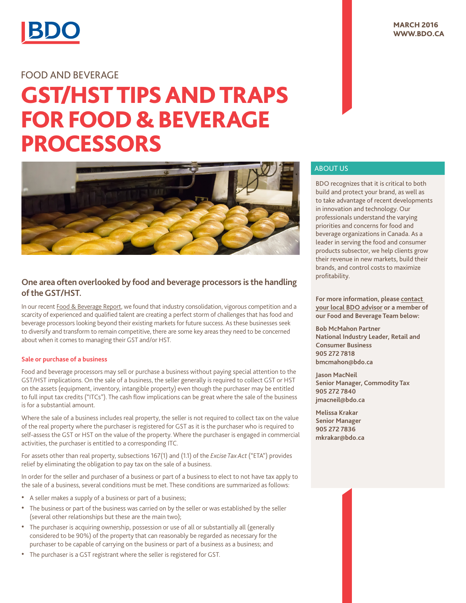

# Food and Beverage

# GST/HST Tipsand Traps **FOR FOOD & BEVERAGE PROCESSORS**



## **One area often overlooked by food and beverage processors is the handling of the GST/HST.**

In our recent [Food & Beverage Report](http://www.bdo.ca/en/Library/Industries/Manufacturing-Distribution/pages/Consolidation-intensifies-competition.aspx), we found that industry consolidation, vigorous competition and a scarcity of experienced and qualified talent are creating a perfect storm of challenges that has food and beverage processors looking beyond their existing markets for future success. As these businesses seek to diversify and transform to remain competitive, there are some key areas they need to be concerned about when it comes to managing their GST and/or HST.

### **Sale or purchase of a business**

Food and beverage processors may sell or purchase a business without paying special attention to the GST/HST implications. On the sale of a business, the seller generally is required to collect GST or HST on the assets (equipment, inventory, intangible property) even though the purchaser may be entitled to full input tax credits ("ITCs"). The cash flow implications can be great where the sale of the business is for a substantial amount.

Where the sale of a business includes real property, the seller is not required to collect tax on the value of the real property where the purchaser is registered for GST as it is the purchaser who is required to self-assess the GST or HST on the value of the property. Where the purchaser is engaged in commercial activities, the purchaser is entitled to a corresponding ITC.

For assets other than real property, subsections 167(1) and (1.1) of the *Excise Tax Act* ("ETA") provides relief by eliminating the obligation to pay tax on the sale of a business.

In order for the seller and purchaser of a business or part of a business to elect to not have tax apply to the sale of a business, several conditions must be met. These conditions are summarized as follows:

- A seller makes a supply of a business or part of a business;
- • The business or part of the business was carried on by the seller or was established by the seller (several other relationships but these are the main two);
- The purchaser is acquiring ownership, possession or use of all or substantially all (generally considered to be 90%) of the property that can reasonably be regarded as necessary for the purchaser to be capable of carrying on the business or part of a business as a business; and
- The purchaser is a GST registrant where the seller is registered for GST.

## **MARCH 2016** WWW.BDO.CA

## about Us

BDO recognizes that it is critical to both build and protect your brand, as well as to take advantage of recent developments in innovation and technology. Our professionals understand the varying priorities and concerns for food and beverage organizations in Canada. As a leader in serving the food and consumer products subsector, we help clients grow their revenue in new markets, build their brands, and control costs to maximize profitability.

**For more information, please [contact](http://www.bdo.ca/en/contactus/pages/default.aspx)  [your local BDO advisor](http://www.bdo.ca/en/contactus/pages/default.aspx) or a member of our Food and Beverage Team below:**

**Bob McMahon Partner National Industry Leader, Retail and Consumer Business 905 272 7818 bmcmahon@bdo.ca**

**Jason MacNeil Senior Manager, Commodity Tax 905 272 7840 jmacneil@bdo.ca**

**Melissa Krakar Senior Manager 905 272 7836 mkrakar@bdo.ca**